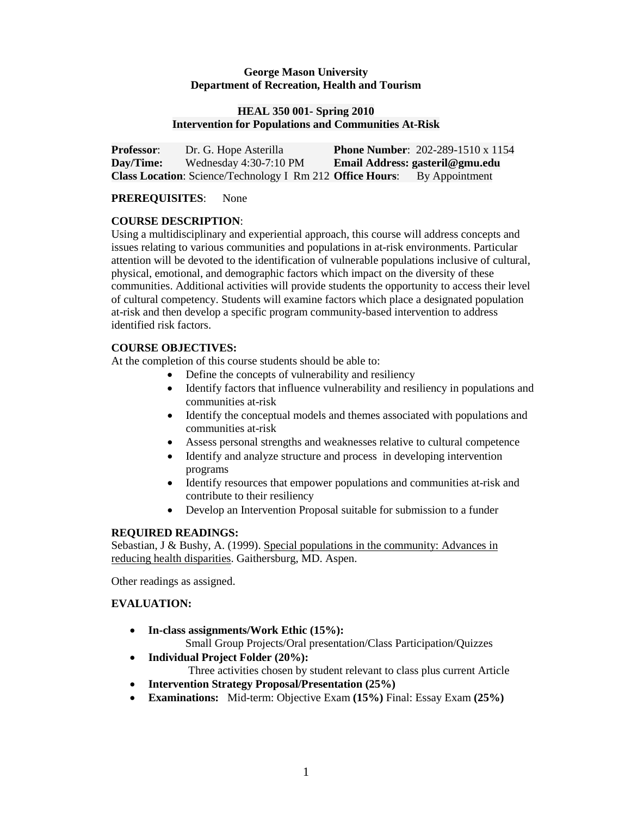## **George Mason University Department of Recreation, Health and Tourism**

### **HEAL 350 001- Spring 2010 Intervention for Populations and Communities At-Risk**

| <b>Professor:</b> | Dr. G. Hope Asterilla                                            | <b>Phone Number:</b> 202-289-1510 x 1154 |
|-------------------|------------------------------------------------------------------|------------------------------------------|
| Day/Time:         | Wednesday $4:30-7:10$ PM                                         | Email Address: gasteril@gmu.edu          |
|                   | <b>Class Location:</b> Science/Technology I Rm 212 Office Hours: | By Appointment                           |

## **PREREQUISITES**: None

# **COURSE DESCRIPTION**:

Using a multidisciplinary and experiential approach, this course will address concepts and issues relating to various communities and populations in at-risk environments. Particular attention will be devoted to the identification of vulnerable populations inclusive of cultural, physical, emotional, and demographic factors which impact on the diversity of these communities. Additional activities will provide students the opportunity to access their level of cultural competency. Students will examine factors which place a designated population at-risk and then develop a specific program community-based intervention to address identified risk factors.

# **COURSE OBJECTIVES:**

At the completion of this course students should be able to:

- Define the concepts of vulnerability and resiliency
- Identify factors that influence vulnerability and resiliency in populations and communities at-risk
- Identify the conceptual models and themes associated with populations and communities at-risk
- Assess personal strengths and weaknesses relative to cultural competence
- Identify and analyze structure and process in developing intervention programs
- Identify resources that empower populations and communities at-risk and contribute to their resiliency
- Develop an Intervention Proposal suitable for submission to a funder

# **REQUIRED READINGS:**

Sebastian, J & Bushy, A. (1999). Special populations in the community: Advances in reducing health disparities. Gaithersburg, MD. Aspen.

Other readings as assigned.

# **EVALUATION:**

- **In-class assignments/Work Ethic (15%):** Small Group Projects/Oral presentation/Class Participation/Quizzes
- **Individual Project Folder (20%):** Three activities chosen by student relevant to class plus current Article
- **Intervention Strategy Proposal/Presentation (25%)**
- **Examinations:** Mid-term: Objective Exam **(15%)** Final: Essay Exam **(25%)**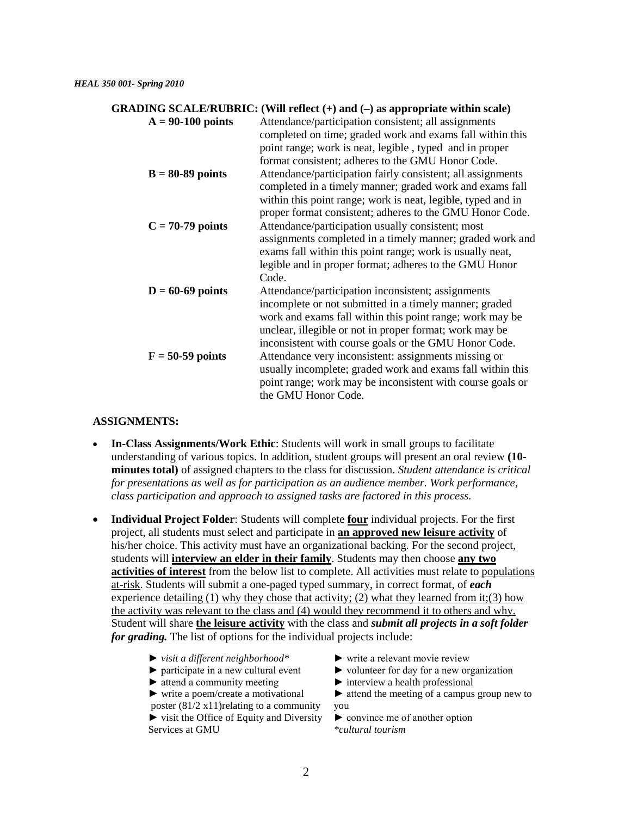### **GRADING SCALE/RUBRIC: (Will reflect (+) and (–) as appropriate within scale)**

**A = 90-100 points** Attendance/participation consistent; all assignments completed on time; graded work and exams fall within this point range; work is neat, legible , typed and in proper format consistent; adheres to the GMU Honor Code. **B = 80-89 points** Attendance/participation fairly consistent; all assignments completed in a timely manner; graded work and exams fall within this point range; work is neat, legible, typed and in proper format consistent; adheres to the GMU Honor Code. **C = 70-79 points** Attendance/participation usually consistent; most assignments completed in a timely manner; graded work and exams fall within this point range; work is usually neat, legible and in proper format; adheres to the GMU Honor Code. **D** = 60-69 points Attendance/participation inconsistent; assignments incomplete or not submitted in a timely manner; graded work and exams fall within this point range; work may be unclear, illegible or not in proper format; work may be inconsistent with course goals or the GMU Honor Code. **F = 50-59 points** Attendance very inconsistent: assignments missing or usually incomplete; graded work and exams fall within this point range; work may be inconsistent with course goals or the GMU Honor Code.

### **ASSIGNMENTS:**

- **In-Class Assignments/Work Ethic**: Students will work in small groups to facilitate understanding of various topics. In addition, student groups will present an oral review **(10 minutes total)** of assigned chapters to the class for discussion. *Student attendance is critical for presentations as well as for participation as an audience member. Work performance, class participation and approach to assigned tasks are factored in this process.*
- **Individual Project Folder**: Students will complete **four** individual projects. For the first project, all students must select and participate in **an approved new leisure activity** of his/her choice. This activity must have an organizational backing. For the second project, students will **interview an elder in their family**. Students may then choose **any two activities of interest** from the below list to complete. All activities must relate to populations at-risk. Students will submit a one-paged typed summary, in correct format, of *each* experience detailing  $(1)$  why they chose that activity;  $(2)$  what they learned from it; $(3)$  how the activity was relevant to the class and (4) would they recommend it to others and why. Student will share **the leisure activity** with the class and *submit all projects in a soft folder for grading.* The list of options for the individual projects include:
	- ► *visit a different neighborhood\** ► write a relevant movie review
	-
	- ► attend a community meeting ► interview a health professional

poster  $(81/2 \times 11)$  relating to a community you ► visit the Office of Equity and Diversity ► convince me of another option

- 
- ► participate in a new cultural event ► volunteer for day for a new organization
	-
- ► write a poem/create a motivational ► attend the meeting of a campus group new to

Services at GMU *\*cultural tourism*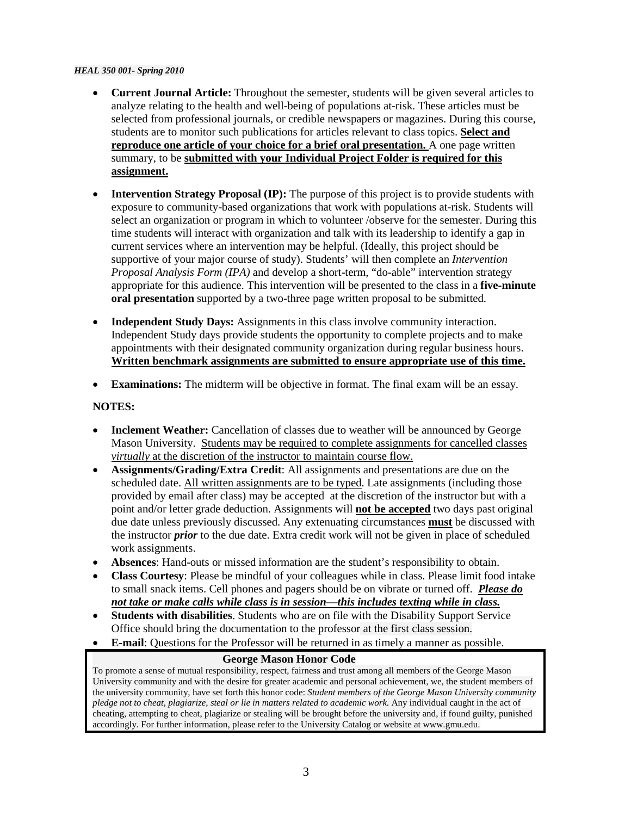### *HEAL 350 001- Spring 2010*

- **Current Journal Article:** Throughout the semester, students will be given several articles to analyze relating to the health and well-being of populations at-risk. These articles must be selected from professional journals, or credible newspapers or magazines. During this course, students are to monitor such publications for articles relevant to class topics. **Select and reproduce one article of your choice for a brief oral presentation.** A one page written summary, to be **submitted with your Individual Project Folder is required for this assignment.**
- **Intervention Strategy Proposal (IP):** The purpose of this project is to provide students with exposure to community-based organizations that work with populations at-risk. Students will select an organization or program in which to volunteer /observe for the semester. During this time students will interact with organization and talk with its leadership to identify a gap in current services where an intervention may be helpful. (Ideally, this project should be supportive of your major course of study). Students' will then complete an *Intervention Proposal Analysis Form (IPA)* and develop a short-term, "do-able" intervention strategy appropriate for this audience. This intervention will be presented to the class in a **five-minute oral presentation** supported by a two-three page written proposal to be submitted.
- **Independent Study Days:** Assignments in this class involve community interaction. Independent Study days provide students the opportunity to complete projects and to make appointments with their designated community organization during regular business hours. **Written benchmark assignments are submitted to ensure appropriate use of this time.**
- **Examinations:** The midterm will be objective in format. The final exam will be an essay.

## **NOTES:**

- **Inclement Weather:** Cancellation of classes due to weather will be announced by George Mason University. Students may be required to complete assignments for cancelled classes *virtually* at the discretion of the instructor to maintain course flow.
- **Assignments/Grading/Extra Credit**: All assignments and presentations are due on the scheduled date. All written assignments are to be typed. Late assignments (including those provided by email after class) may be accepted at the discretion of the instructor but with a point and/or letter grade deduction. Assignments will **not be accepted** two days past original due date unless previously discussed. Any extenuating circumstances **must** be discussed with the instructor *prior* to the due date. Extra credit work will not be given in place of scheduled work assignments.
- **Absences**: Hand-outs or missed information are the student's responsibility to obtain.
- **Class Courtesy**: Please be mindful of your colleagues while in class. Please limit food intake to small snack items. Cell phones and pagers should be on vibrate or turned off. *Please do not take or make calls while class is in session—this includes texting while in class.*
- **Students with disabilities**. Students who are on file with the Disability Support Service Office should bring the documentation to the professor at the first class session.
- **E-mail**: Questions for the Professor will be returned in as timely a manner as possible.

### **George Mason Honor Code**

To promote a sense of mutual responsibility, respect, fairness and trust among all members of the George Mason University community and with the desire for greater academic and personal achievement, we, the student members of the university community, have set forth this honor code: *Student members of the George Mason University community pledge not to cheat, plagiarize, steal or lie in matters related to academic work*. Any individual caught in the act of cheating, attempting to cheat, plagiarize or stealing will be brought before the university and, if found guilty, punished accordingly. For further information, please refer to the University Catalog or website at www.gmu.edu.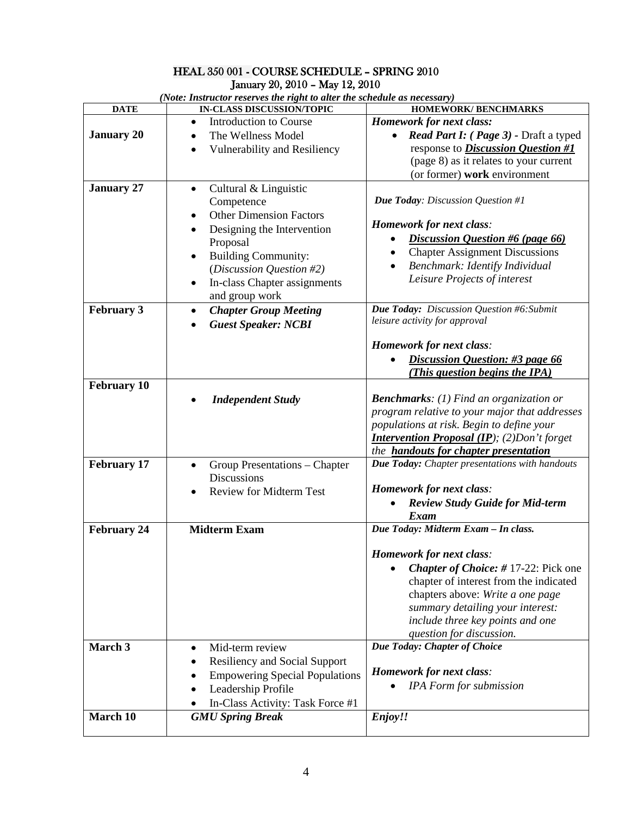# HEAL 350 001 - COURSE SCHEDULE – SPRING 2010 January 20, 2010 – May 12, 2010

| (Note: Instructor reserves the right to alter the schedule as necessary) |                                                                  |                                                                          |  |  |
|--------------------------------------------------------------------------|------------------------------------------------------------------|--------------------------------------------------------------------------|--|--|
| <b>DATE</b>                                                              | <b>IN-CLASS DISCUSSION/TOPIC</b>                                 | <b>HOMEWORK/ BENCHMARKS</b>                                              |  |  |
| <b>January 20</b>                                                        | Introduction to Course<br>$\bullet$<br>The Wellness Model        | <b>Homework for next class:</b><br>Read Part I: (Page 3) - Draft a typed |  |  |
|                                                                          | Vulnerability and Resiliency                                     | response to <i>Discussion Question #1</i>                                |  |  |
|                                                                          |                                                                  | (page 8) as it relates to your current                                   |  |  |
|                                                                          |                                                                  | (or former) work environment                                             |  |  |
| <b>January 27</b>                                                        | Cultural & Linguistic<br>$\bullet$<br>Competence                 | <b>Due Today:</b> Discussion Question #1                                 |  |  |
|                                                                          | <b>Other Dimension Factors</b>                                   | Homework for next class:                                                 |  |  |
|                                                                          | Designing the Intervention<br>Proposal                           | <b>Discussion Question #6 (page 66)</b>                                  |  |  |
|                                                                          | <b>Building Community:</b><br>$\bullet$                          | <b>Chapter Assignment Discussions</b><br>$\bullet$                       |  |  |
|                                                                          | (Discussion Question #2)                                         | Benchmark: Identify Individual                                           |  |  |
|                                                                          | In-class Chapter assignments                                     | Leisure Projects of interest                                             |  |  |
|                                                                          | $\bullet$<br>and group work                                      |                                                                          |  |  |
| <b>February 3</b>                                                        | <b>Chapter Group Meeting</b><br>٠                                | Due Today: Discussion Question #6: Submit                                |  |  |
|                                                                          | <b>Guest Speaker: NCBI</b>                                       | leisure activity for approval                                            |  |  |
|                                                                          |                                                                  | Homework for next class:                                                 |  |  |
|                                                                          |                                                                  | Discussion Question: #3 page 66                                          |  |  |
|                                                                          |                                                                  | This question begins the IPA)                                            |  |  |
| <b>February 10</b>                                                       |                                                                  |                                                                          |  |  |
|                                                                          | <b>Independent Study</b>                                         | <b>Benchmarks:</b> (1) Find an organization or                           |  |  |
|                                                                          |                                                                  | program relative to your major that addresses                            |  |  |
|                                                                          |                                                                  | populations at risk. Begin to define your                                |  |  |
|                                                                          |                                                                  | <b>Intervention Proposal (IP)</b> ; (2)Don't forget                      |  |  |
|                                                                          |                                                                  | the <b>handouts for chapter presentation</b>                             |  |  |
| <b>February 17</b>                                                       | Group Presentations - Chapter<br>$\bullet$<br><b>Discussions</b> | Due Today: Chapter presentations with handouts                           |  |  |
|                                                                          | <b>Review for Midterm Test</b><br>$\bullet$                      | <b>Homework for next class:</b>                                          |  |  |
|                                                                          |                                                                  | <b>Review Study Guide for Mid-term</b>                                   |  |  |
|                                                                          |                                                                  | Exam                                                                     |  |  |
| <b>February 24</b>                                                       | <b>Midterm Exam</b>                                              | Due Today: Midterm Exam - In class.                                      |  |  |
|                                                                          |                                                                  | <b>Homework for next class:</b>                                          |  |  |
|                                                                          |                                                                  | <b>Chapter of Choice: #17-22: Pick one</b><br>$\bullet$                  |  |  |
|                                                                          |                                                                  | chapter of interest from the indicated                                   |  |  |
|                                                                          |                                                                  | chapters above: Write a one page                                         |  |  |
|                                                                          |                                                                  | summary detailing your interest:                                         |  |  |
|                                                                          |                                                                  | include three key points and one                                         |  |  |
|                                                                          |                                                                  | question for discussion.                                                 |  |  |
| March 3                                                                  | Mid-term review<br>$\bullet$                                     | Due Today: Chapter of Choice                                             |  |  |
|                                                                          | <b>Resiliency and Social Support</b>                             |                                                                          |  |  |
|                                                                          | <b>Empowering Special Populations</b>                            | Homework for next class:                                                 |  |  |
|                                                                          | Leadership Profile                                               | <b>IPA</b> Form for submission                                           |  |  |
|                                                                          | In-Class Activity: Task Force #1                                 |                                                                          |  |  |
| March 10                                                                 | <b>GMU Spring Break</b>                                          | Enjoy!!                                                                  |  |  |